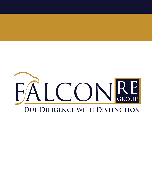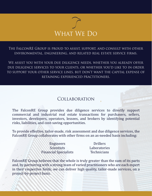

The FalconRE Group is proud to assist, support, and consult with other environmental, engineering, and related real estate service firms.

We assist you with your due diligence needs, whether you already offer due diligence services to your clients, or whether you'd like to in order to support your other service lines, but don't want the capital expense of retaining experienced practitioners.

## Collaboration

The FalconRE Group provides due diligence services to directly support commercial and industrial real estate transactions for purchasers, sellers, investors, developers, operators, lessees, and brokers by identifying potential risks, liabilities, and cost-saving opportunities.

To provide effective, tailor-made, risk assessment and due diligence services, the FalconRE Group collaborates with other firms on an as-needed basis including:

> Engineers Scientists Financial Specialists

Drillers Laboratories **Technicians** 

FalconRE Group believes that the whole is truly greater than the sum of its parts and, by partnering with a strong team of varied practitioners who are each expert in their respective �ields, we can deliver high quality, tailor-made services, on a project-by-project basis.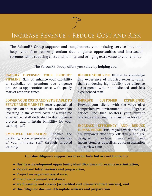## Increase Revenue ~ Reduce Cost and Risk

The FalconRE Group supports and complements your existing service line, and helps your firm realize premium due diligence opportunities and increased revenue, while reducing costs and liability, and bringing extra value to your clients.

The FalconRE Group offers you value by helping you:

**RAPIDLY DIVERSIFY YOUR PRODUCT PIPELINE:** Gain or enhance your capability to capitalize on premium due diligence projects as opportunities arise, with speedy market response times.

**LOWER YOUR COSTS AND YET BE ABLE TO SERVE PRIME MARKETS:** Access specialized expertise on an as-needed basis, rather than investing in the capital costs of a full-time experienced staff dedicated to due diligence projects, and maintain billability for your existing staff.

**EMPLOYEE EDUCATION:** Enhance the flexibility, knowledge-base, and capabilities of your in-house staff through targeted training.

**REDUCE YOUR RISK:** Utilize the knowledge and experience of industry experts, rather than conducting high liability due diligence assessments with non-dedicated and less experienced staff.

**IMPROVE CUSTOMER EXPERIENCE**: Provide your clients with the value of a comprehensive environmental due diligence service line that bolsters your current offerings and strengthens customer loyalty.

**INCREASE EFFICIENCY AND REDUCE HUMAN ERROR**: Ensure your work products are prepared efficiently, effectively and are designed to reduce human error and inconsistencies, as well as reduce preparation and review time.

**Our due diligence support services include but are not limited to:**

- ◆ Business development opportunity identification and revenue maximization;
- **Report and letter reviews and preparation;**
- **Project management assistance;**
- **Client management assistance;**
- **Staff training and classes (accredited and non-accredited courses); and**
- **Due diligence document template reviews and preparation.**